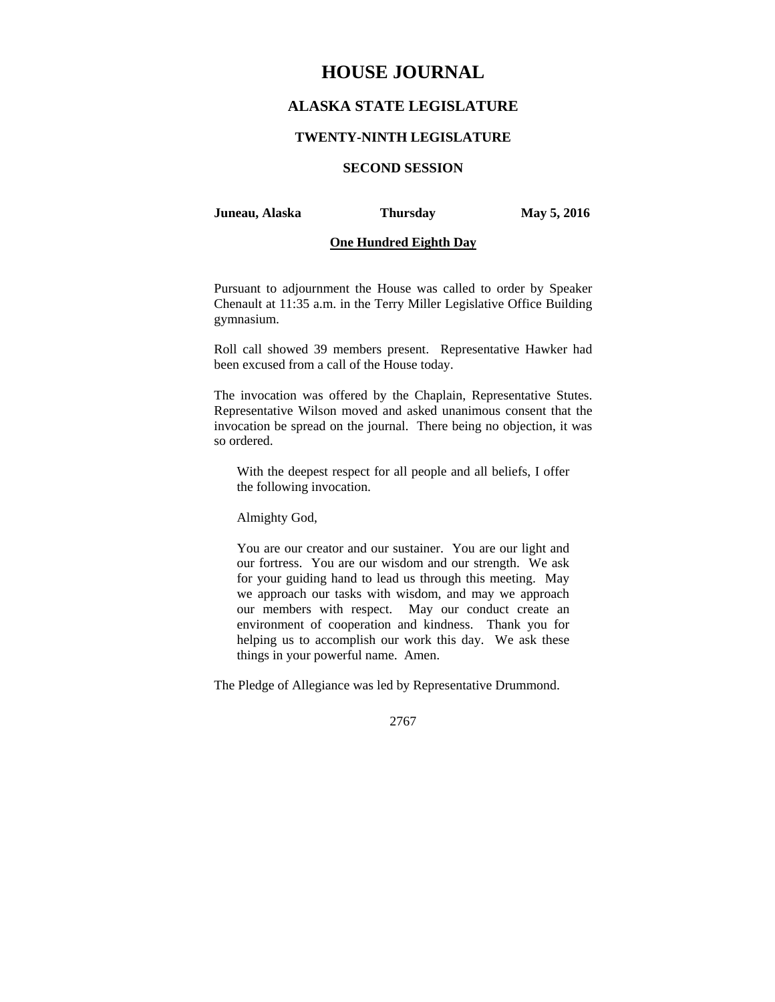# **HOUSE JOURNAL**

## **ALASKA STATE LEGISLATURE**

#### **TWENTY-NINTH LEGISLATURE**

## **SECOND SESSION**

#### **Juneau, Alaska Thursday May 5, 2016**

## **One Hundred Eighth Day**

Pursuant to adjournment the House was called to order by Speaker Chenault at 11:35 a.m. in the Terry Miller Legislative Office Building gymnasium.

Roll call showed 39 members present. Representative Hawker had been excused from a call of the House today.

The invocation was offered by the Chaplain, Representative Stutes. Representative Wilson moved and asked unanimous consent that the invocation be spread on the journal. There being no objection, it was so ordered.

With the deepest respect for all people and all beliefs, I offer the following invocation.

Almighty God,

You are our creator and our sustainer. You are our light and our fortress. You are our wisdom and our strength. We ask for your guiding hand to lead us through this meeting. May we approach our tasks with wisdom, and may we approach our members with respect. May our conduct create an environment of cooperation and kindness. Thank you for helping us to accomplish our work this day. We ask these things in your powerful name. Amen.

The Pledge of Allegiance was led by Representative Drummond.

2767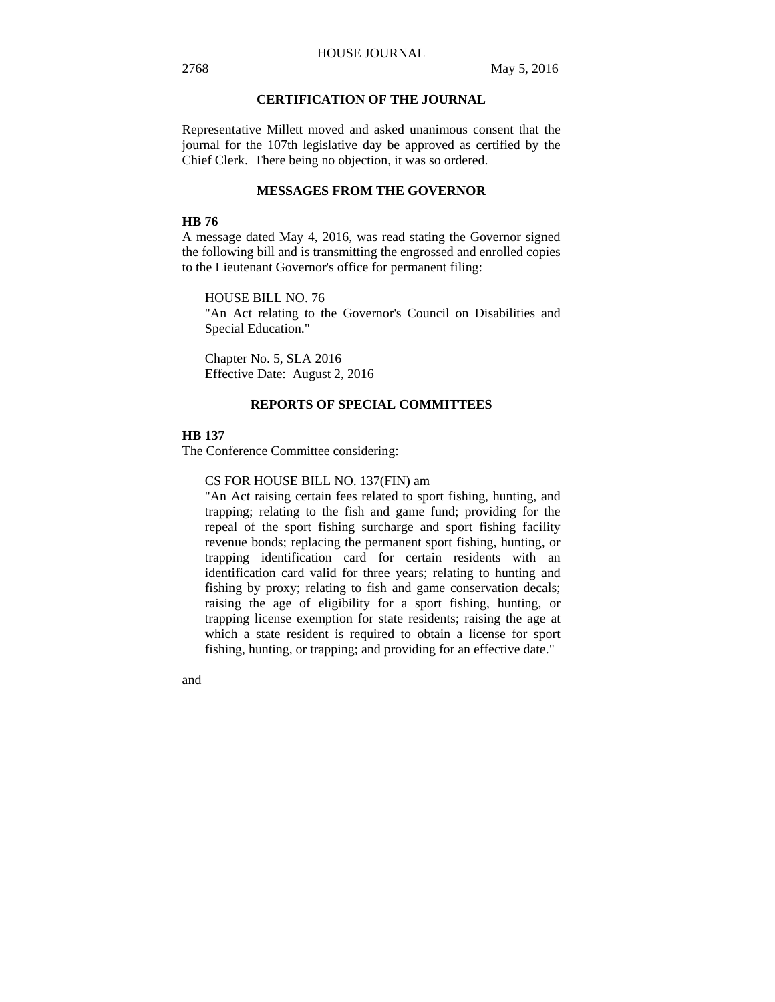## **CERTIFICATION OF THE JOURNAL**

Representative Millett moved and asked unanimous consent that the journal for the 107th legislative day be approved as certified by the Chief Clerk. There being no objection, it was so ordered.

#### **MESSAGES FROM THE GOVERNOR**

#### **HB 76**

A message dated May 4, 2016, was read stating the Governor signed the following bill and is transmitting the engrossed and enrolled copies to the Lieutenant Governor's office for permanent filing:

HOUSE BILL NO. 76

"An Act relating to the Governor's Council on Disabilities and Special Education."

Chapter No. 5, SLA 2016 Effective Date: August 2, 2016

#### **REPORTS OF SPECIAL COMMITTEES**

#### **HB 137**

The Conference Committee considering:

CS FOR HOUSE BILL NO. 137(FIN) am

"An Act raising certain fees related to sport fishing, hunting, and trapping; relating to the fish and game fund; providing for the repeal of the sport fishing surcharge and sport fishing facility revenue bonds; replacing the permanent sport fishing, hunting, or trapping identification card for certain residents with an identification card valid for three years; relating to hunting and fishing by proxy; relating to fish and game conservation decals; raising the age of eligibility for a sport fishing, hunting, or trapping license exemption for state residents; raising the age at which a state resident is required to obtain a license for sport fishing, hunting, or trapping; and providing for an effective date."

and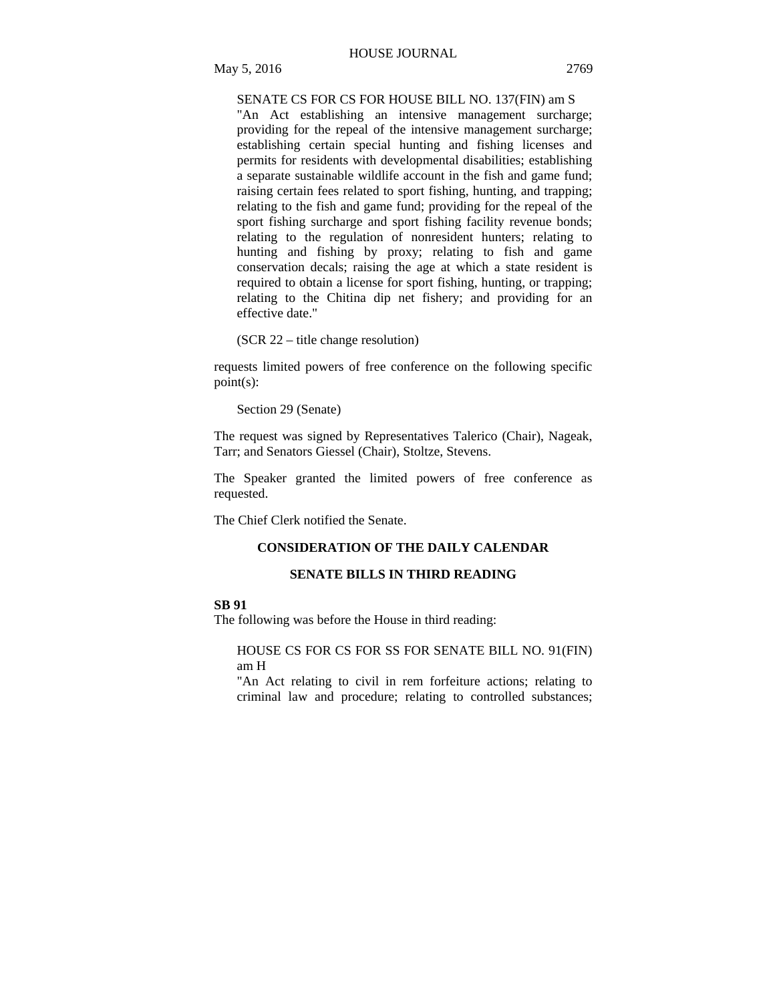## SENATE CS FOR CS FOR HOUSE BILL NO. 137(FIN) am S

"An Act establishing an intensive management surcharge; providing for the repeal of the intensive management surcharge; establishing certain special hunting and fishing licenses and permits for residents with developmental disabilities; establishing a separate sustainable wildlife account in the fish and game fund; raising certain fees related to sport fishing, hunting, and trapping; relating to the fish and game fund; providing for the repeal of the sport fishing surcharge and sport fishing facility revenue bonds; relating to the regulation of nonresident hunters; relating to hunting and fishing by proxy; relating to fish and game conservation decals; raising the age at which a state resident is required to obtain a license for sport fishing, hunting, or trapping; relating to the Chitina dip net fishery; and providing for an effective date."

(SCR 22 – title change resolution)

requests limited powers of free conference on the following specific point(s):

Section 29 (Senate)

The request was signed by Representatives Talerico (Chair), Nageak, Tarr; and Senators Giessel (Chair), Stoltze, Stevens.

The Speaker granted the limited powers of free conference as requested.

The Chief Clerk notified the Senate.

#### **CONSIDERATION OF THE DAILY CALENDAR**

## **SENATE BILLS IN THIRD READING**

## **SB 91**

The following was before the House in third reading:

## HOUSE CS FOR CS FOR SS FOR SENATE BILL NO. 91(FIN) am H

"An Act relating to civil in rem forfeiture actions; relating to criminal law and procedure; relating to controlled substances;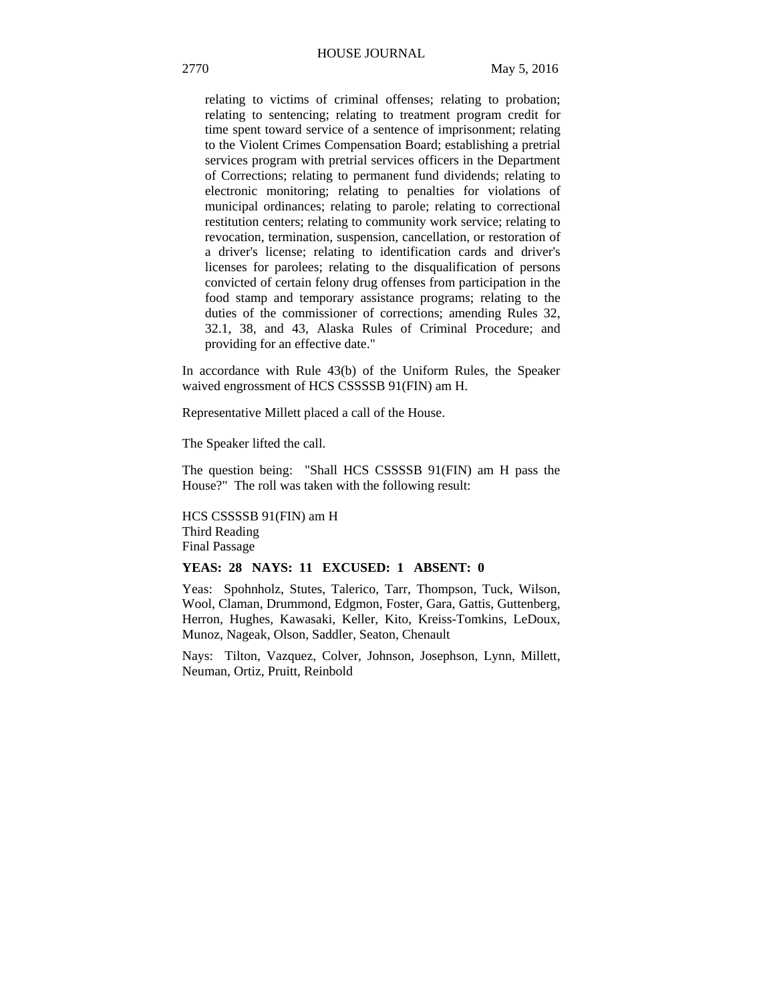relating to victims of criminal offenses; relating to probation; relating to sentencing; relating to treatment program credit for time spent toward service of a sentence of imprisonment; relating to the Violent Crimes Compensation Board; establishing a pretrial services program with pretrial services officers in the Department of Corrections; relating to permanent fund dividends; relating to electronic monitoring; relating to penalties for violations of municipal ordinances; relating to parole; relating to correctional restitution centers; relating to community work service; relating to revocation, termination, suspension, cancellation, or restoration of a driver's license; relating to identification cards and driver's licenses for parolees; relating to the disqualification of persons convicted of certain felony drug offenses from participation in the food stamp and temporary assistance programs; relating to the duties of the commissioner of corrections; amending Rules 32, 32.1, 38, and 43, Alaska Rules of Criminal Procedure; and providing for an effective date."

In accordance with Rule 43(b) of the Uniform Rules, the Speaker waived engrossment of HCS CSSSSB 91(FIN) am H.

Representative Millett placed a call of the House.

The Speaker lifted the call.

The question being: "Shall HCS CSSSSB 91(FIN) am H pass the House?" The roll was taken with the following result:

HCS CSSSSB 91(FIN) am H Third Reading Final Passage

#### **YEAS: 28 NAYS: 11 EXCUSED: 1 ABSENT: 0**

Yeas: Spohnholz, Stutes, Talerico, Tarr, Thompson, Tuck, Wilson, Wool, Claman, Drummond, Edgmon, Foster, Gara, Gattis, Guttenberg, Herron, Hughes, Kawasaki, Keller, Kito, Kreiss-Tomkins, LeDoux, Munoz, Nageak, Olson, Saddler, Seaton, Chenault

Nays: Tilton, Vazquez, Colver, Johnson, Josephson, Lynn, Millett, Neuman, Ortiz, Pruitt, Reinbold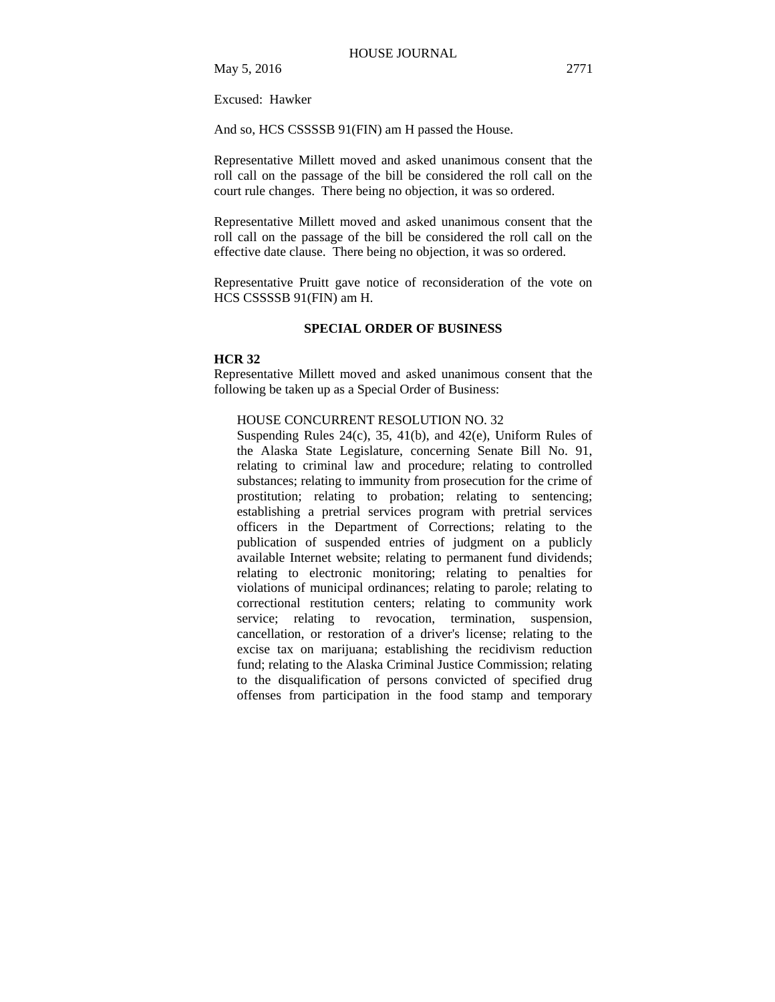May 5, 2016 2771

Excused: Hawker

And so, HCS CSSSSB 91(FIN) am H passed the House.

Representative Millett moved and asked unanimous consent that the roll call on the passage of the bill be considered the roll call on the court rule changes. There being no objection, it was so ordered.

Representative Millett moved and asked unanimous consent that the roll call on the passage of the bill be considered the roll call on the effective date clause. There being no objection, it was so ordered.

Representative Pruitt gave notice of reconsideration of the vote on HCS CSSSSB 91(FIN) am H.

## **SPECIAL ORDER OF BUSINESS**

#### **HCR 32**

Representative Millett moved and asked unanimous consent that the following be taken up as a Special Order of Business:

## HOUSE CONCURRENT RESOLUTION NO. 32

Suspending Rules 24(c), 35, 41(b), and 42(e), Uniform Rules of the Alaska State Legislature, concerning Senate Bill No. 91, relating to criminal law and procedure; relating to controlled substances; relating to immunity from prosecution for the crime of prostitution; relating to probation; relating to sentencing; establishing a pretrial services program with pretrial services officers in the Department of Corrections; relating to the publication of suspended entries of judgment on a publicly available Internet website; relating to permanent fund dividends; relating to electronic monitoring; relating to penalties for violations of municipal ordinances; relating to parole; relating to correctional restitution centers; relating to community work service; relating to revocation, termination, suspension, cancellation, or restoration of a driver's license; relating to the excise tax on marijuana; establishing the recidivism reduction fund; relating to the Alaska Criminal Justice Commission; relating to the disqualification of persons convicted of specified drug offenses from participation in the food stamp and temporary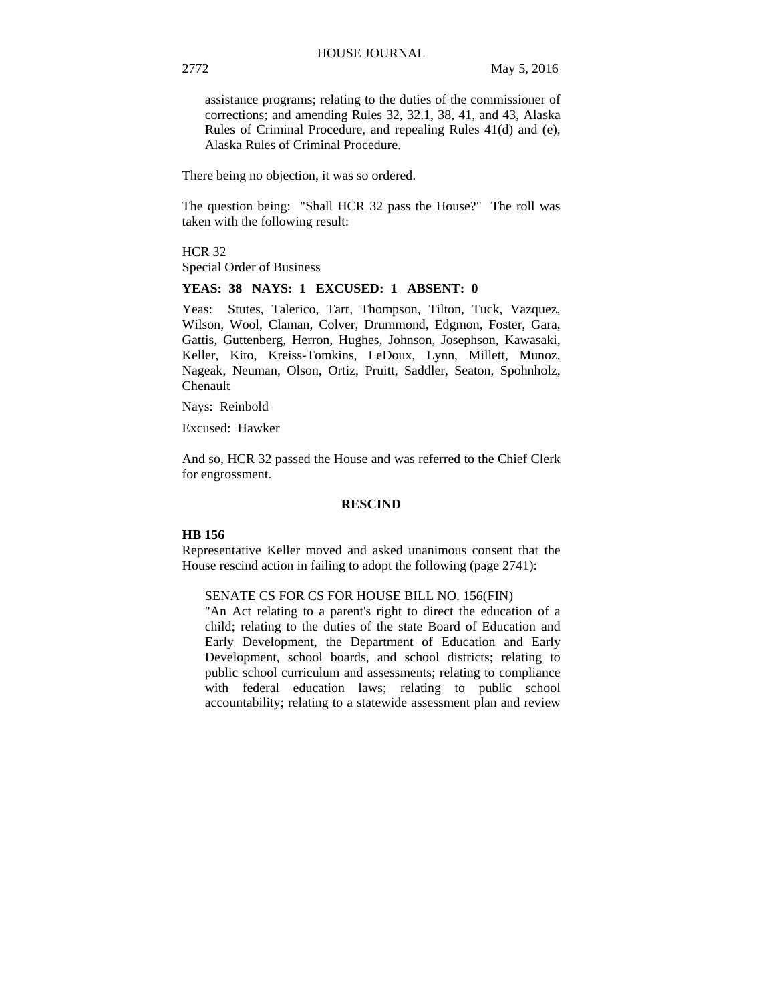assistance programs; relating to the duties of the commissioner of corrections; and amending Rules 32, 32.1, 38, 41, and 43, Alaska Rules of Criminal Procedure, and repealing Rules 41(d) and (e), Alaska Rules of Criminal Procedure.

There being no objection, it was so ordered.

The question being: "Shall HCR 32 pass the House?" The roll was taken with the following result:

HCR 32 Special Order of Business

#### **YEAS: 38 NAYS: 1 EXCUSED: 1 ABSENT: 0**

Yeas: Stutes, Talerico, Tarr, Thompson, Tilton, Tuck, Vazquez, Wilson, Wool, Claman, Colver, Drummond, Edgmon, Foster, Gara, Gattis, Guttenberg, Herron, Hughes, Johnson, Josephson, Kawasaki, Keller, Kito, Kreiss-Tomkins, LeDoux, Lynn, Millett, Munoz, Nageak, Neuman, Olson, Ortiz, Pruitt, Saddler, Seaton, Spohnholz, Chenault

Nays: Reinbold

Excused: Hawker

And so, HCR 32 passed the House and was referred to the Chief Clerk for engrossment.

#### **RESCIND**

#### **HB 156**

Representative Keller moved and asked unanimous consent that the House rescind action in failing to adopt the following (page 2741):

#### SENATE CS FOR CS FOR HOUSE BILL NO. 156(FIN)

"An Act relating to a parent's right to direct the education of a child; relating to the duties of the state Board of Education and Early Development, the Department of Education and Early Development, school boards, and school districts; relating to public school curriculum and assessments; relating to compliance with federal education laws; relating to public school accountability; relating to a statewide assessment plan and review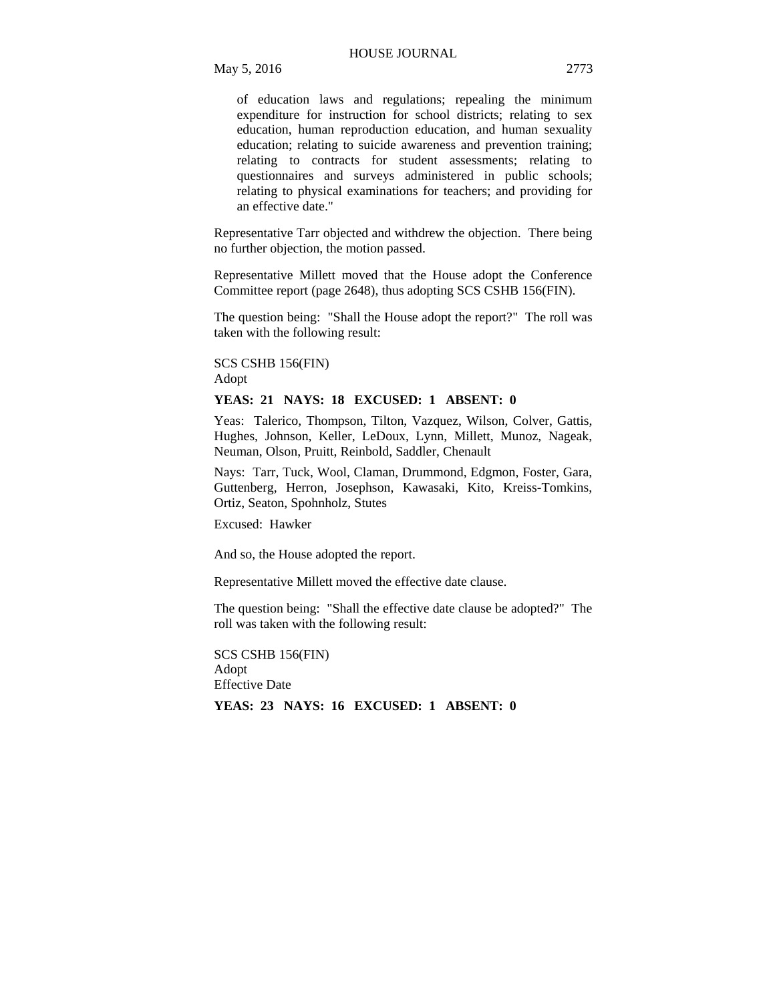of education laws and regulations; repealing the minimum expenditure for instruction for school districts; relating to sex education, human reproduction education, and human sexuality education; relating to suicide awareness and prevention training; relating to contracts for student assessments; relating to questionnaires and surveys administered in public schools; relating to physical examinations for teachers; and providing for an effective date."

Representative Tarr objected and withdrew the objection. There being no further objection, the motion passed.

Representative Millett moved that the House adopt the Conference Committee report (page 2648), thus adopting SCS CSHB 156(FIN).

The question being: "Shall the House adopt the report?" The roll was taken with the following result:

#### SCS CSHB 156(FIN) Adopt

#### **YEAS: 21 NAYS: 18 EXCUSED: 1 ABSENT: 0**

Yeas: Talerico, Thompson, Tilton, Vazquez, Wilson, Colver, Gattis, Hughes, Johnson, Keller, LeDoux, Lynn, Millett, Munoz, Nageak, Neuman, Olson, Pruitt, Reinbold, Saddler, Chenault

Nays: Tarr, Tuck, Wool, Claman, Drummond, Edgmon, Foster, Gara, Guttenberg, Herron, Josephson, Kawasaki, Kito, Kreiss-Tomkins, Ortiz, Seaton, Spohnholz, Stutes

Excused: Hawker

And so, the House adopted the report.

Representative Millett moved the effective date clause.

The question being: "Shall the effective date clause be adopted?" The roll was taken with the following result:

SCS CSHB 156(FIN) Adopt Effective Date

**YEAS: 23 NAYS: 16 EXCUSED: 1 ABSENT: 0**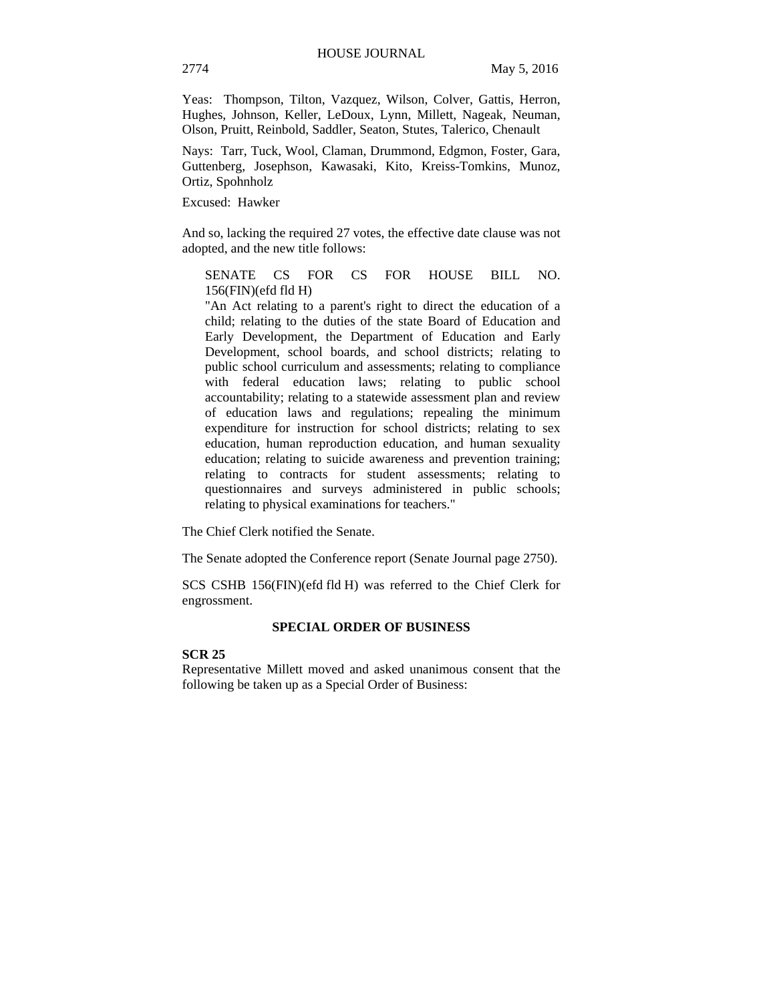Yeas: Thompson, Tilton, Vazquez, Wilson, Colver, Gattis, Herron, Hughes, Johnson, Keller, LeDoux, Lynn, Millett, Nageak, Neuman, Olson, Pruitt, Reinbold, Saddler, Seaton, Stutes, Talerico, Chenault

Nays: Tarr, Tuck, Wool, Claman, Drummond, Edgmon, Foster, Gara, Guttenberg, Josephson, Kawasaki, Kito, Kreiss-Tomkins, Munoz, Ortiz, Spohnholz

Excused: Hawker

And so, lacking the required 27 votes, the effective date clause was not adopted, and the new title follows:

SENATE CS FOR CS FOR HOUSE BILL NO. 156(FIN)(efd fld H)

"An Act relating to a parent's right to direct the education of a child; relating to the duties of the state Board of Education and Early Development, the Department of Education and Early Development, school boards, and school districts; relating to public school curriculum and assessments; relating to compliance with federal education laws; relating to public school accountability; relating to a statewide assessment plan and review of education laws and regulations; repealing the minimum expenditure for instruction for school districts; relating to sex education, human reproduction education, and human sexuality education; relating to suicide awareness and prevention training; relating to contracts for student assessments; relating to questionnaires and surveys administered in public schools; relating to physical examinations for teachers."

The Chief Clerk notified the Senate.

The Senate adopted the Conference report (Senate Journal page 2750).

SCS CSHB 156(FIN)(efd fld H) was referred to the Chief Clerk for engrossment.

#### **SPECIAL ORDER OF BUSINESS**

## **SCR 25**

Representative Millett moved and asked unanimous consent that the following be taken up as a Special Order of Business: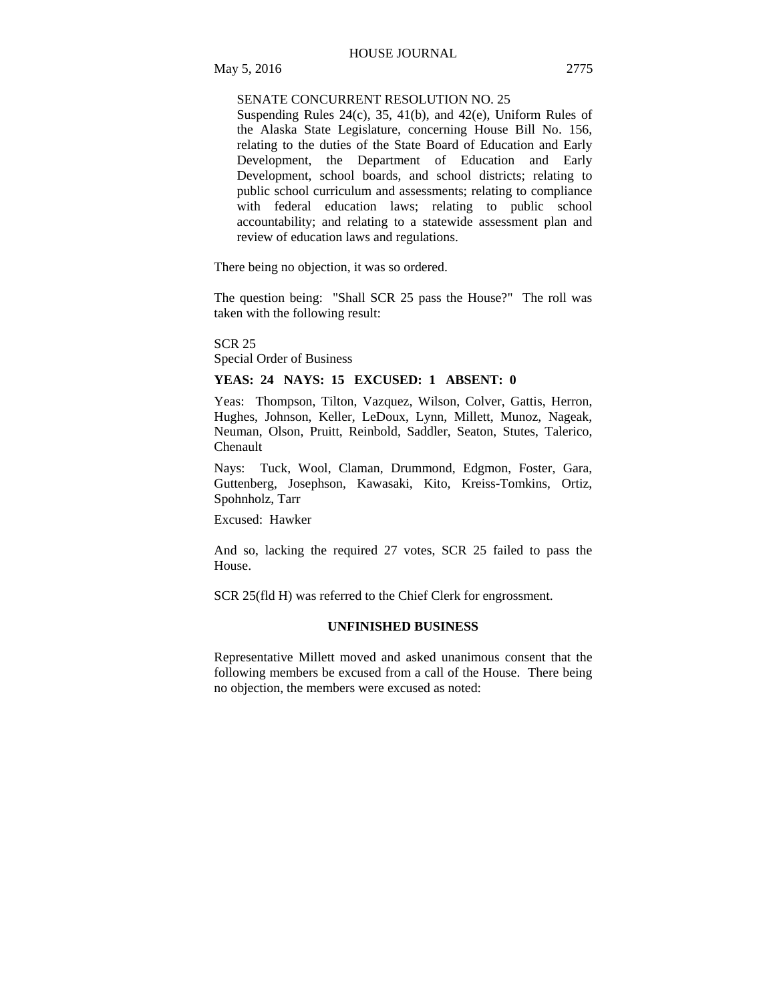## SENATE CONCURRENT RESOLUTION NO. 25

Suspending Rules 24(c), 35, 41(b), and 42(e), Uniform Rules of the Alaska State Legislature, concerning House Bill No. 156, relating to the duties of the State Board of Education and Early Development, the Department of Education and Early Development, school boards, and school districts; relating to public school curriculum and assessments; relating to compliance with federal education laws; relating to public school accountability; and relating to a statewide assessment plan and review of education laws and regulations.

There being no objection, it was so ordered.

The question being: "Shall SCR 25 pass the House?" The roll was taken with the following result:

SCR 25

Special Order of Business

#### **YEAS: 24 NAYS: 15 EXCUSED: 1 ABSENT: 0**

Yeas: Thompson, Tilton, Vazquez, Wilson, Colver, Gattis, Herron, Hughes, Johnson, Keller, LeDoux, Lynn, Millett, Munoz, Nageak, Neuman, Olson, Pruitt, Reinbold, Saddler, Seaton, Stutes, Talerico, Chenault

Nays: Tuck, Wool, Claman, Drummond, Edgmon, Foster, Gara, Guttenberg, Josephson, Kawasaki, Kito, Kreiss-Tomkins, Ortiz, Spohnholz, Tarr

Excused: Hawker

And so, lacking the required 27 votes, SCR 25 failed to pass the House.

SCR 25(fld H) was referred to the Chief Clerk for engrossment.

#### **UNFINISHED BUSINESS**

Representative Millett moved and asked unanimous consent that the following members be excused from a call of the House. There being no objection, the members were excused as noted: